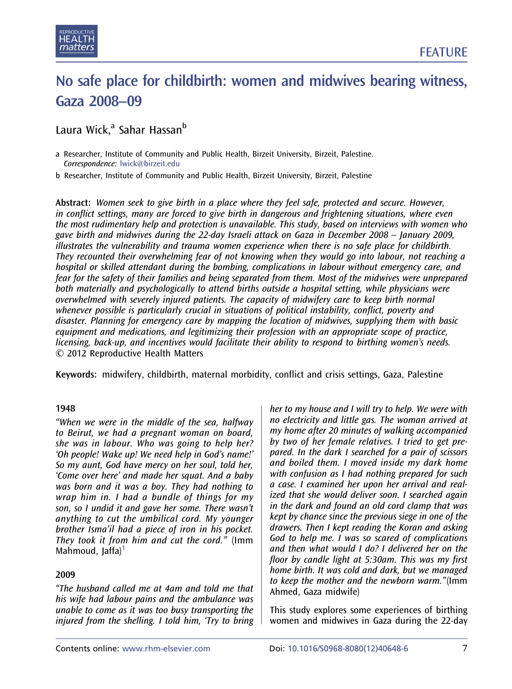

# No safe place for childbirth: women and midwives bearing witness, Gaza 2008*–*09

# Laura Wick,<sup>a</sup> Sahar Hassan<sup>b</sup>

a Researcher, Institute of Community and Public Health, Birzeit University, Birzeit, Palestine. Correspondence: [lwick@birzeit.edu](mailto:lwick@birzeit.edu)

b Researcher, Institute of Community and Public Health, Birzeit University, Birzeit, Palestine

Abstract: Women seek to give birth in a place where they feel safe, protected and secure. However, in conflict settings, many are forced to give birth in dangerous and frightening situations, where even the most rudimentary help and protection is unavailable. This study, based on interviews with women who gave birth and midwives during the 22-day Israeli attack on Gaza in December 2008 – January 2009, illustrates the vulnerability and trauma women experience when there is no safe place for childbirth. They recounted their overwhelming fear of not knowing when they would go into labour, not reaching a hospital or skilled attendant during the bombing, complications in labour without emergency care, and fear for the safety of their families and being separated from them. Most of the midwives were unprepared both materially and psychologically to attend births outside a hospital setting, while physicians were overwhelmed with severely injured patients. The capacity of midwifery care to keep birth normal whenever possible is particularly crucial in situations of political instability, conflict, poverty and disaster. Planning for emergency care by mapping the location of midwives, supplying them with basic equipment and medications, and legitimizing their profession with an appropriate scope of practice, licensing, back-up, and incentives would facilitate their ability to respond to birthing women's needs. © 2012 Reproductive Health Matters

Keywords: midwifery, childbirth, maternal morbidity, conflict and crisis settings, Gaza, Palestine

#### 1948

"When we were in the middle of the sea, halfway to Beirut, we had a pregnant woman on board, she was in labour. Who was going to help her? 'Oh people! Wake up! We need help in God's name!' So my aunt, God have mercy on her soul, told her, 'Come over here' and made her squat. And a baby was born and it was a boy. They had nothing to wrap him in. I had a bundle of things for my son, so I undid it and gave her some. There wasn't anything to cut the umbilical cord. My younger brother Isma'il had a piece of iron in his pocket. They took it from him and cut the cord." (Imm Mahmoud,  $Iaffa$ <sup>[1](#page-6-0)</sup>

#### 2009

"The husband called me at 4am and told me that his wife had labour pains and the ambulance was unable to come as it was too busy transporting the injured from the shelling. I told him, 'Try to bring

her to my house and I will try to help. We were with no electricity and little gas. The woman arrived at my home after 20 minutes of walking accompanied by two of her female relatives. I tried to get prepared. In the dark I searched for a pair of scissors and boiled them. I moved inside my dark home with confusion as I had nothing prepared for such a case. I examined her upon her arrival and realized that she would deliver soon. I searched again in the dark and found an old cord clamp that was kept by chance since the previous siege in one of the drawers. Then I kept reading the Koran and asking God to help me. I was so scared of complications and then what would I do? I delivered her on the floor by candle light at 5:30am. This was my first home birth. It was cold and dark, but we managed to keep the mother and the newborn warm."(Imm Ahmed, Gaza midwife)

This study explores some experiences of birthing women and midwives in Gaza during the 22-day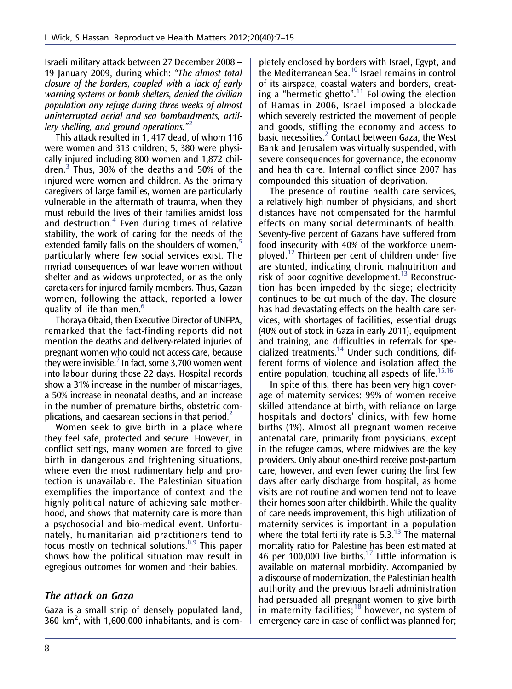Israeli military attack between 27 December 2008 – 19 January 2009, during which: "The almost total closure of the borders, coupled with a lack of early warning systems or bomb shelters, denied the civilian population any refuge during three weeks of almost uninterrupted aerial and sea bombardments, artil-lery shelling, and ground operations."<sup>[2](#page-6-0)</sup>

This attack resulted in 1, 417 dead, of whom 116 were women and 313 children; 5, 380 were physically injured including 800 women and 1,872 children.[3](#page-6-0) Thus, 30% of the deaths and 50% of the injured were women and children. As the primary caregivers of large families, women are particularly vulnerable in the aftermath of trauma, when they must rebuild the lives of their families amidst loss and destruction. $4$  Even during times of relative stability, the work of caring for the needs of the extended family falls on the shoulders of women,<sup>5</sup> particularly where few social services exist. The myriad consequences of war leave women without shelter and as widows unprotected, or as the only caretakers for injured family members. Thus, Gazan women, following the attack, reported a lower quality of life than men.<sup>6</sup>

Thoraya Obaid, then Executive Director of UNFPA, remarked that the fact-finding reports did not mention the deaths and delivery-related injuries of pregnant women who could not access care, because they were invisible. In fact, some 3,700 women went into labour during those 22 days. Hospital records show a 31% increase in the number of miscarriages, a 50% increase in neonatal deaths, and an increase in the number of premature births, obstetric complications, and caesarean sections in that period.<sup>2</sup>

Women seek to give birth in a place where they feel safe, protected and secure. However, in conflict settings, many women are forced to give birth in dangerous and frightening situations, where even the most rudimentary help and protection is unavailable. The Palestinian situation exemplifies the importance of context and the highly political nature of achieving safe motherhood, and shows that maternity care is more than a psychosocial and bio-medical event. Unfortunately, humanitarian aid practitioners tend to focus mostly on technical solutions. $8,9$  This paper shows how the political situation may result in egregious outcomes for women and their babies.

# The attack on Gaza

Gaza is a small strip of densely populated land, 360 km2 , with 1,600,000 inhabitants, and is completely enclosed by borders with Israel, Egypt, and the Mediterranean Sea.<sup>[10](#page-7-0)</sup> Israel remains in control of its airspace, coastal waters and borders, creating a "hermetic ghetto". [11](#page-7-0) Following the election of Hamas in 2006, Israel imposed a blockade which severely restricted the movement of people and goods, stifling the economy and access to basic necessities.<sup>[2](#page-6-0)</sup> Contact between Gaza, the West Bank and Jerusalem was virtually suspended, with severe consequences for governance, the economy and health care. Internal conflict since 2007 has compounded this situation of deprivation.

The presence of routine health care services, a relatively high number of physicians, and short distances have not compensated for the harmful effects on many social determinants of health. Seventy-five percent of Gazans have suffered from food insecurity with 40% of the workforce unem-ployed.<sup>[12](#page-7-0)</sup> Thirteen per cent of children under five are stunted, indicating chronic malnutrition and risk of poor cognitive development.<sup>[13](#page-7-0)</sup> Reconstruction has been impeded by the siege; electricity continues to be cut much of the day. The closure has had devastating effects on the health care services, with shortages of facilities, essential drugs (40% out of stock in Gaza in early 2011), equipment and training, and difficulties in referrals for specialized treatments.<sup>14</sup> Under such conditions, different forms of violence and isolation affect the entire population, touching all aspects of life.<sup>[15,16](#page-7-0)</sup>

In spite of this, there has been very high coverage of maternity services: 99% of women receive skilled attendance at birth, with reliance on large hospitals and doctors' clinics, with few home births (1%). Almost all pregnant women receive antenatal care, primarily from physicians, except in the refugee camps, where midwives are the key providers. Only about one-third receive post-partum care, however, and even fewer during the first few days after early discharge from hospital, as home visits are not routine and women tend not to leave their homes soon after childbirth. While the quality of care needs improvement, this high utilization of maternity services is important in a population where the total fertility rate is  $5.3^{13}$  The maternal mortality ratio for Palestine has been estimated at 46 per 100,000 live births.<sup>[17](#page-7-0)</sup> Little information is available on maternal morbidity. Accompanied by a discourse of modernization, the Palestinian health authority and the previous Israeli administration had persuaded all pregnant women to give birth in maternity facilities;<sup>[18](#page-7-0)</sup> however, no system of emergency care in case of conflict was planned for;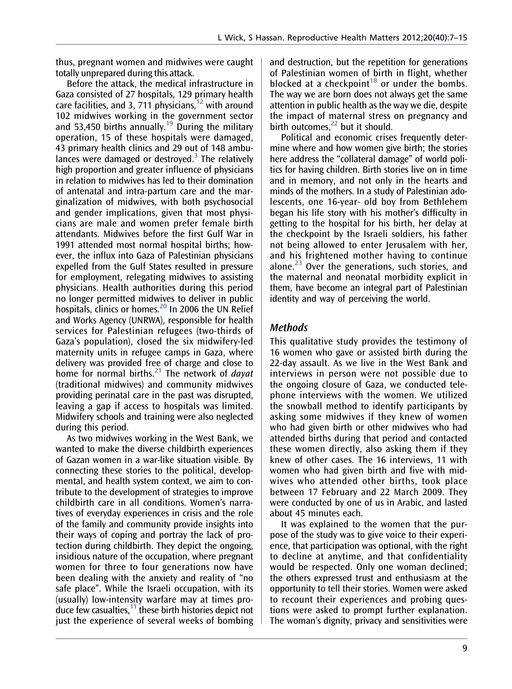thus, pregnant women and midwives were caught totally unprepared during this attack.

Before the attack, the medical infrastructure in Gaza consisted of 27 hospitals, 129 primary health care facilities, and 3, 711 physicians,  $12$  with around 102 midwives working in the government sector and 53,450 births annually.<sup>19</sup> During the military operation, 15 of these hospitals were damaged, 43 primary health clinics and 29 out of 148 ambu-lances were damaged or destroyed.<sup>[3](#page-6-0)</sup> The relatively high proportion and greater influence of physicians in relation to midwives has led to their domination of antenatal and intra-partum care and the marginalization of midwives, with both psychosocial and gender implications, given that most physicians are male and women prefer female birth attendants. Midwives before the first Gulf War in 1991 attended most normal hospital births; however, the influx into Gaza of Palestinian physicians expelled from the Gulf States resulted in pressure for employment, relegating midwives to assisting physicians. Health authorities during this period no longer permitted midwives to deliver in public hospitals, clinics or homes.<sup>[20](#page-7-0)</sup> In 2006 the UN Relief and Works Agency (UNRWA), responsible for health services for Palestinian refugees (two-thirds of Gaza's population), closed the six midwifery-led maternity units in refugee camps in Gaza, where delivery was provided free of charge and close to home for normal births.<sup>[21](#page-7-0)</sup> The network of *dayat* (traditional midwives) and community midwives providing perinatal care in the past was disrupted, leaving a gap if access to hospitals was limited. Midwifery schools and training were also neglected during this period.

As two midwives working in the West Bank, we wanted to make the diverse childbirth experiences of Gazan women in a war-like situation visible. By connecting these stories to the political, developmental, and health system context, we aim to contribute to the development of strategies to improve childbirth care in all conditions. Women's narratives of everyday experiences in crisis and the role of the family and community provide insights into their ways of coping and portray the lack of protection during childbirth. They depict the ongoing, insidious nature of the occupation, where pregnant women for three to four generations now have been dealing with the anxiety and reality of "no safe place". While the Israeli occupation, with its (usually) low-intensity warfare may at times produce few casualties, $11$  these birth histories depict not just the experience of several weeks of bombing and destruction, but the repetition for generations of Palestinian women of birth in flight, whether blocked at a checkpoint<sup>[18](#page-7-0)</sup> or under the bombs. The way we are born does not always get the same attention in public health as the way we die, despite the impact of maternal stress on pregnancy and birth outcomes, $^{22}$  but it should.

Political and economic crises frequently determine where and how women give birth; the stories here address the "collateral damage" of world politics for having children. Birth stories live on in time and in memory, and not only in the hearts and minds of the mothers. In a study of Palestinian adolescents, one 16-year- old boy from Bethlehem began his life story with his mother's difficulty in getting to the hospital for his birth, her delay at the checkpoint by the Israeli soldiers, his father not being allowed to enter Jerusalem with her, and his frightened mother having to continue alone.<sup>[23](#page-7-0)</sup> Over the generations, such stories, and the maternal and neonatal morbidity explicit in them, have become an integral part of Palestinian identity and way of perceiving the world.

# **Methods**

This qualitative study provides the testimony of 16 women who gave or assisted birth during the 22-day assault. As we live in the West Bank and interviews in person were not possible due to the ongoing closure of Gaza, we conducted telephone interviews with the women. We utilized the snowball method to identify participants by asking some midwives if they knew of women who had given birth or other midwives who had attended births during that period and contacted these women directly, also asking them if they knew of other cases. The 16 interviews, 11 with women who had given birth and five with midwives who attended other births, took place between 17 February and 22 March 2009. They were conducted by one of us in Arabic, and lasted about 45 minutes each.

It was explained to the women that the purpose of the study was to give voice to their experience, that participation was optional, with the right to decline at anytime, and that confidentiality would be respected. Only one woman declined; the others expressed trust and enthusiasm at the opportunity to tell their stories. Women were asked to recount their experiences and probing questions were asked to prompt further explanation. The woman's dignity, privacy and sensitivities were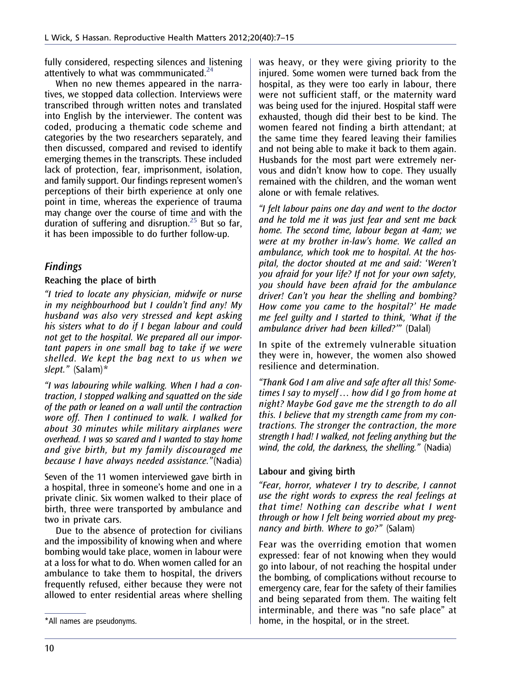fully considered, respecting silences and listening attentively to what was communicated. $24$ 

When no new themes appeared in the narratives, we stopped data collection. Interviews were transcribed through written notes and translated into English by the interviewer. The content was coded, producing a thematic code scheme and categories by the two researchers separately, and then discussed, compared and revised to identify emerging themes in the transcripts. These included lack of protection, fear, imprisonment, isolation, and family support. Our findings represent women's perceptions of their birth experience at only one point in time, whereas the experience of trauma may change over the course of time and with the duration of suffering and disruption.<sup>25</sup> But so far, it has been impossible to do further follow-up.

# Findings

## Reaching the place of birth

"I tried to locate any physician, midwife or nurse in my neighbourhood but I couldn't find any! My husband was also very stressed and kept asking his sisters what to do if I began labour and could not get to the hospital. We prepared all our important papers in one small bag to take if we were shelled. We kept the bag next to us when we slept." (Salam)\*

"I was labouring while walking. When I had a contraction, I stopped walking and squatted on the side of the path or leaned on a wall until the contraction wore off. Then I continued to walk. I walked for about 30 minutes while military airplanes were overhead. I was so scared and I wanted to stay home and give birth, but my family discouraged me because I have always needed assistance."(Nadia)

Seven of the 11 women interviewed gave birth in a hospital, three in someone's home and one in a private clinic. Six women walked to their place of birth, three were transported by ambulance and two in private cars.

Due to the absence of protection for civilians and the impossibility of knowing when and where bombing would take place, women in labour were at a loss for what to do. When women called for an ambulance to take them to hospital, the drivers frequently refused, either because they were not allowed to enter residential areas where shelling was heavy, or they were giving priority to the injured. Some women were turned back from the hospital, as they were too early in labour, there were not sufficient staff, or the maternity ward was being used for the injured. Hospital staff were exhausted, though did their best to be kind. The women feared not finding a birth attendant; at the same time they feared leaving their families and not being able to make it back to them again. Husbands for the most part were extremely nervous and didn't know how to cope. They usually remained with the children, and the woman went alone or with female relatives.

"I felt labour pains one day and went to the doctor and he told me it was just fear and sent me back home. The second time, labour began at 4am; we were at my brother in-law's home. We called an ambulance, which took me to hospital. At the hospital, the doctor shouted at me and said: 'Weren't you afraid for your life? If not for your own safety, you should have been afraid for the ambulance driver! Can't you hear the shelling and bombing? How come you came to the hospital?' He made me feel guilty and I started to think, 'What if the ambulance driver had been killed?'" (Dalal)

In spite of the extremely vulnerable situation they were in, however, the women also showed resilience and determination.

"Thank God I am alive and safe after all this! Sometimes I say to myself… how did I go from home at night? Maybe God gave me the strength to do all this. I believe that my strength came from my contractions. The stronger the contraction, the more strength I had! I walked, not feeling anything but the wind, the cold, the darkness, the shelling." (Nadia)

#### Labour and giving birth

"Fear, horror, whatever I try to describe, I cannot use the right words to express the real feelings at that time! Nothing can describe what I went through or how I felt being worried about my pregnancy and birth. Where to go?" (Salam)

Fear was the overriding emotion that women expressed: fear of not knowing when they would go into labour, of not reaching the hospital under the bombing, of complications without recourse to emergency care, fear for the safety of their families and being separated from them. The waiting felt interminable, and there was "no safe place" at \*All names are pseudonyms. home, in the hospital, or in the street.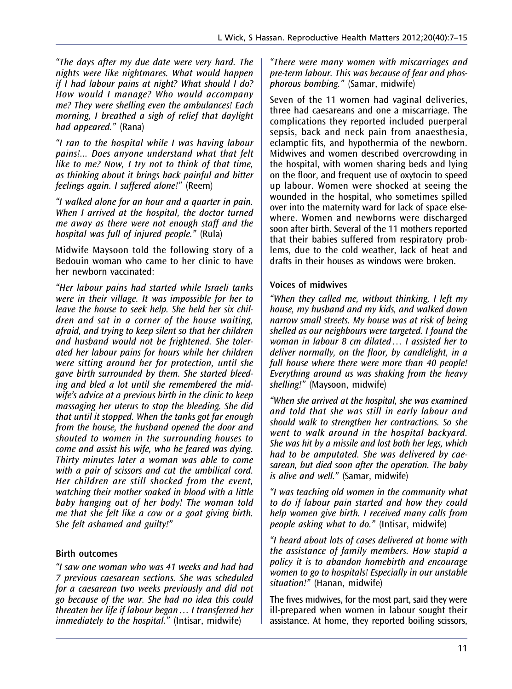"The days after my due date were very hard. The nights were like nightmares. What would happen if I had labour pains at night? What should I do? How would I manage? Who would accompany me? They were shelling even the ambulances! Each morning, I breathed a sigh of relief that daylight had appeared." (Rana)

"I ran to the hospital while I was having labour pains!... Does anyone understand what that felt like to me? Now, I try not to think of that time, as thinking about it brings back painful and bitter feelings again. I suffered alone!" (Reem)

"I walked alone for an hour and a quarter in pain. When I arrived at the hospital, the doctor turned me away as there were not enough staff and the hospital was full of injured people." (Rula)

Midwife Maysoon told the following story of a Bedouin woman who came to her clinic to have her newborn vaccinated:

"Her labour pains had started while Israeli tanks were in their village. It was impossible for her to leave the house to seek help. She held her six children and sat in a corner of the house waiting, afraid, and trying to keep silent so that her children and husband would not be frightened. She tolerated her labour pains for hours while her children were sitting around her for protection, until she gave birth surrounded by them. She started bleeding and bled a lot until she remembered the midwife's advice at a previous birth in the clinic to keep massaging her uterus to stop the bleeding. She did that until it stopped. When the tanks got far enough from the house, the husband opened the door and shouted to women in the surrounding houses to come and assist his wife, who he feared was dying. Thirty minutes later a woman was able to come with a pair of scissors and cut the umbilical cord. Her children are still shocked from the event, watching their mother soaked in blood with a little baby hanging out of her body! The woman told me that she felt like a cow or a goat giving birth. She felt ashamed and guilty!"

## Birth outcomes

"I saw one woman who was 41 weeks and had had 7 previous caesarean sections. She was scheduled for a caesarean two weeks previously and did not go because of the war. She had no idea this could threaten her life if labour began… I transferred her immediately to the hospital." (Intisar, midwife)

"There were many women with miscarriages and pre-term labour. This was because of fear and phosphorous bombing." (Samar, midwife)

Seven of the 11 women had vaginal deliveries, three had caesareans and one a miscarriage. The complications they reported included puerperal sepsis, back and neck pain from anaesthesia, eclamptic fits, and hypothermia of the newborn. Midwives and women described overcrowding in the hospital, with women sharing beds and lying on the floor, and frequent use of oxytocin to speed up labour. Women were shocked at seeing the wounded in the hospital, who sometimes spilled over into the maternity ward for lack of space elsewhere. Women and newborns were discharged soon after birth. Several of the 11 mothers reported that their babies suffered from respiratory problems, due to the cold weather, lack of heat and drafts in their houses as windows were broken.

#### Voices of midwives

"When they called me, without thinking, I left my house, my husband and my kids, and walked down narrow small streets. My house was at risk of being shelled as our neighbours were targeted. I found the woman in labour 8 cm dilated… I assisted her to deliver normally, on the floor, by candlelight, in a full house where there were more than 40 people! Everything around us was shaking from the heavy shelling!" (Maysoon, midwife)

"When she arrived at the hospital, she was examined and told that she was still in early labour and should walk to strengthen her contractions. So she went to walk around in the hospital backyard. She was hit by a missile and lost both her legs, which had to be amputated. She was delivered by caesarean, but died soon after the operation. The baby is alive and well." (Samar, midwife)

"I was teaching old women in the community what to do if labour pain started and how they could help women give birth. I received many calls from people asking what to do." (Intisar, midwife)

"I heard about lots of cases delivered at home with the assistance of family members. How stupid a policy it is to abandon homebirth and encourage women to go to hospitals! Especially in our unstable situation!" (Hanan, midwife)

The fives midwives, for the most part, said they were ill-prepared when women in labour sought their assistance. At home, they reported boiling scissors,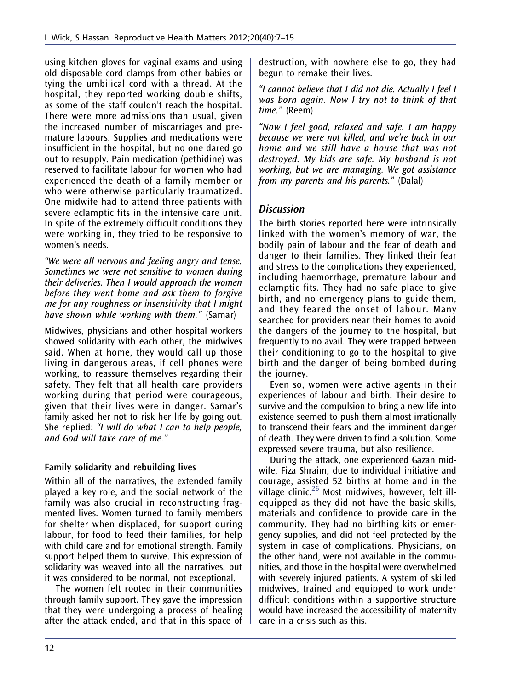using kitchen gloves for vaginal exams and using old disposable cord clamps from other babies or tying the umbilical cord with a thread. At the hospital, they reported working double shifts, as some of the staff couldn't reach the hospital. There were more admissions than usual, given the increased number of miscarriages and premature labours. Supplies and medications were insufficient in the hospital, but no one dared go out to resupply. Pain medication (pethidine) was reserved to facilitate labour for women who had experienced the death of a family member or who were otherwise particularly traumatized. One midwife had to attend three patients with severe eclamptic fits in the intensive care unit. In spite of the extremely difficult conditions they were working in, they tried to be responsive to women's needs.

"We were all nervous and feeling angry and tense. Sometimes we were not sensitive to women during their deliveries. Then I would approach the women before they went home and ask them to forgive me for any roughness or insensitivity that I might have shown while working with them." (Samar)

Midwives, physicians and other hospital workers showed solidarity with each other, the midwives said. When at home, they would call up those living in dangerous areas, if cell phones were working, to reassure themselves regarding their safety. They felt that all health care providers working during that period were courageous, given that their lives were in danger. Samar's family asked her not to risk her life by going out. She replied: "I will do what I can to help people, and God will take care of me."

## Family solidarity and rebuilding lives

Within all of the narratives, the extended family played a key role, and the social network of the family was also crucial in reconstructing fragmented lives. Women turned to family members for shelter when displaced, for support during labour, for food to feed their families, for help with child care and for emotional strength. Family support helped them to survive. This expression of solidarity was weaved into all the narratives, but it was considered to be normal, not exceptional.

The women felt rooted in their communities through family support. They gave the impression that they were undergoing a process of healing after the attack ended, and that in this space of destruction, with nowhere else to go, they had begun to remake their lives.

"I cannot believe that I did not die. Actually I feel I was born again. Now I try not to think of that time." (Reem)

"Now I feel good, relaxed and safe. I am happy because we were not killed, and we're back in our home and we still have a house that was not destroyed. My kids are safe. My husband is not working, but we are managing. We got assistance from my parents and his parents." (Dalal)

# **Discussion**

The birth stories reported here were intrinsically linked with the women's memory of war, the bodily pain of labour and the fear of death and danger to their families. They linked their fear and stress to the complications they experienced, including haemorrhage, premature labour and eclamptic fits. They had no safe place to give birth, and no emergency plans to guide them, and they feared the onset of labour. Many searched for providers near their homes to avoid the dangers of the journey to the hospital, but frequently to no avail. They were trapped between their conditioning to go to the hospital to give birth and the danger of being bombed during the journey.

Even so, women were active agents in their experiences of labour and birth. Their desire to survive and the compulsion to bring a new life into existence seemed to push them almost irrationally to transcend their fears and the imminent danger of death. They were driven to find a solution. Some expressed severe trauma, but also resilience.

During the attack, one experienced Gazan midwife, Fiza Shraim, due to individual initiative and courage, assisted 52 births at home and in the village clinic. $26$  Most midwives, however, felt illequipped as they did not have the basic skills, materials and confidence to provide care in the community. They had no birthing kits or emergency supplies, and did not feel protected by the system in case of complications. Physicians, on the other hand, were not available in the communities, and those in the hospital were overwhelmed with severely injured patients. A system of skilled midwives, trained and equipped to work under difficult conditions within a supportive structure would have increased the accessibility of maternity care in a crisis such as this.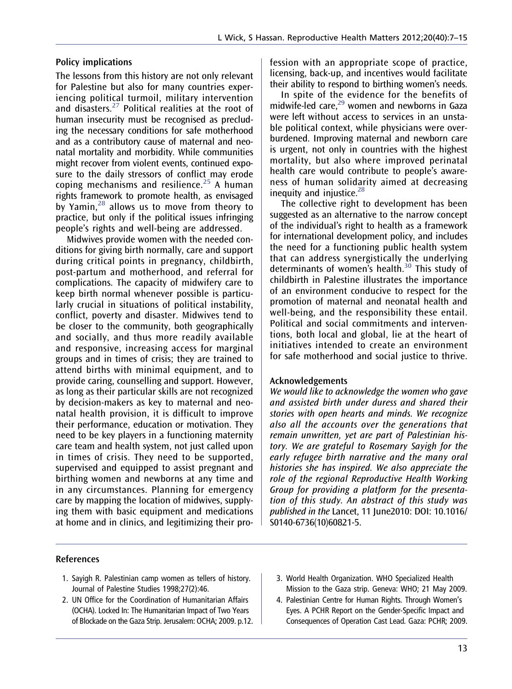#### <span id="page-6-0"></span>Policy implications

The lessons from this history are not only relevant for Palestine but also for many countries experiencing political turmoil, military intervention and disasters. $27$  Political realities at the root of human insecurity must be recognised as precluding the necessary conditions for safe motherhood and as a contributory cause of maternal and neonatal mortality and morbidity. While communities might recover from violent events, continued exposure to the daily stressors of conflict may erode coping mechanisms and resilience.<sup>[25](#page-7-0)</sup> A human rights framework to promote health, as envisaged by Yamin,<sup>[28](#page-7-0)</sup> allows us to move from theory to practice, but only if the political issues infringing people's rights and well-being are addressed.

Midwives provide women with the needed conditions for giving birth normally, care and support during critical points in pregnancy, childbirth, post-partum and motherhood, and referral for complications. The capacity of midwifery care to keep birth normal whenever possible is particularly crucial in situations of political instability, conflict, poverty and disaster. Midwives tend to be closer to the community, both geographically and socially, and thus more readily available and responsive, increasing access for marginal groups and in times of crisis; they are trained to attend births with minimal equipment, and to provide caring, counselling and support. However, as long as their particular skills are not recognized by decision-makers as key to maternal and neonatal health provision, it is difficult to improve their performance, education or motivation. They need to be key players in a functioning maternity care team and health system, not just called upon in times of crisis. They need to be supported, supervised and equipped to assist pregnant and birthing women and newborns at any time and in any circumstances. Planning for emergency care by mapping the location of midwives, supplying them with basic equipment and medications at home and in clinics, and legitimizing their profession with an appropriate scope of practice, licensing, back-up, and incentives would facilitate their ability to respond to birthing women's needs.

In spite of the evidence for the benefits of midwife-led care, $29$  women and newborns in Gaza were left without access to services in an unstable political context, while physicians were overburdened. Improving maternal and newborn care is urgent, not only in countries with the highest mortality, but also where improved perinatal health care would contribute to people's awareness of human solidarity aimed at decreasing inequity and injustice. $28$ 

The collective right to development has been suggested as an alternative to the narrow concept of the individual's right to health as a framework for international development policy, and includes the need for a functioning public health system that can address synergistically the underlying determinants of women's health.<sup>[30](#page-7-0)</sup> This study of childbirth in Palestine illustrates the importance of an environment conducive to respect for the promotion of maternal and neonatal health and well-being, and the responsibility these entail. Political and social commitments and interventions, both local and global, lie at the heart of initiatives intended to create an environment for safe motherhood and social justice to thrive.

#### Acknowledgements

We would like to acknowledge the women who gave and assisted birth under duress and shared their stories with open hearts and minds. We recognize also all the accounts over the generations that remain unwritten, yet are part of Palestinian history. We are grateful to Rosemary Sayigh for the early refugee birth narrative and the many oral histories she has inspired. We also appreciate the role of the regional Reproductive Health Working Group for providing a platform for the presentation of this study. An abstract of this study was published in the Lancet, 11 June2010: DOI: 10.1016/ S0140-6736(10)60821-5.

#### References

- 1. Sayigh R. Palestinian camp women as tellers of history. Journal of Palestine Studies 1998;27(2):46.
- 2. UN Office for the Coordination of Humanitarian Affairs (OCHA). Locked In: The Humanitarian Impact of Two Years of Blockade on the Gaza Strip. Jerusalem: OCHA; 2009. p.12.
- 3. World Health Organization. WHO Specialized Health Mission to the Gaza strip. Geneva: WHO; 21 May 2009.
- 4. Palestinian Centre for Human Rights. Through Women's Eyes. A PCHR Report on the Gender-Specific Impact and Consequences of Operation Cast Lead. Gaza: PCHR; 2009.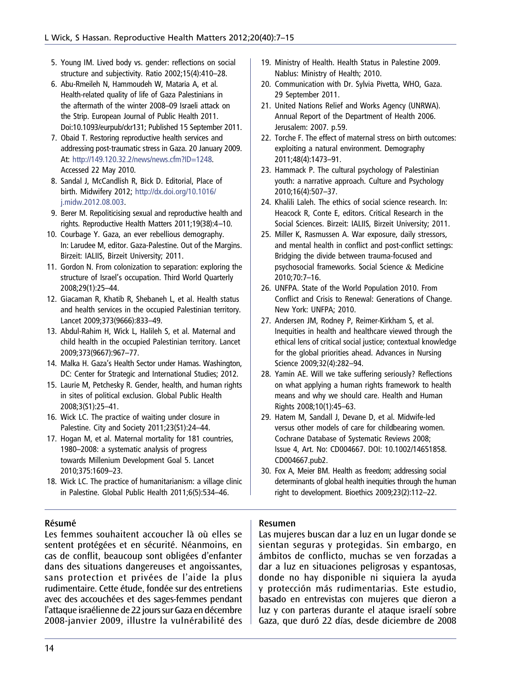- <span id="page-7-0"></span>5. Young IM. Lived body vs. gender: reflections on social structure and subjectivity. Ratio 2002;15(4):410–28.
- 6. Abu-Rmeileh N, Hammoudeh W, Mataria A, et al. Health-related quality of life of Gaza Palestinians in the aftermath of the winter 2008–09 Israeli attack on the Strip. European Journal of Public Health 2011. Doi:10.1093/eurpub/ckr131; Published 15 September 2011.
- 7. Obaid T. Restoring reproductive health services and addressing post-traumatic stress in Gaza. 20 January 2009. At: [http://149.120.32.2/news/news.cfm?ID=1248.](http://149.120.32.2/news/news.cfm?ID=1248) Accessed 22 May 2010.
- 8. Sandal J, McCandlish R, Bick D. Editorial, Place of birth. Midwifery 2012; [http://dx.doi.org/10.1016/](http://dx.doi.org/10.1016/j.midw.2012.08.003) [j.midw.2012.08.003](http://dx.doi.org/10.1016/j.midw.2012.08.003).
- 9. Berer M. Repoliticising sexual and reproductive health and rights. Reproductive Health Matters 2011;19(38):4–10.
- 10. Courbage Y. Gaza, an ever rebellious demography. In: Larudee M, editor. Gaza-Palestine. Out of the Margins. Birzeit: IALIIS, Birzeit University; 2011.
- 11. Gordon N. From colonization to separation: exploring the structure of Israel's occupation. Third World Quarterly 2008;29(1):25–44.
- 12. Giacaman R, Khatib R, Shebaneh L, et al. Health status and health services in the occupied Palestinian territory. Lancet 2009;373(9666):833–49.
- 13. Abdul-Rahim H, Wick L, Halileh S, et al. Maternal and child health in the occupied Palestinian territory. Lancet 2009;373(9667):967–77.
- 14. Malka H. Gaza's Health Sector under Hamas. Washington, DC: Center for Strategic and International Studies; 2012.
- 15. Laurie M, Petchesky R. Gender, health, and human rights in sites of political exclusion. Global Public Health 2008;3(S1):25–41.
- 16. Wick LC. The practice of waiting under closure in Palestine. City and Society 2011;23(S1):24–44.
- 17. Hogan M, et al. Maternal mortality for 181 countries, 1980–2008: a systematic analysis of progress towards Millenium Development Goal 5. Lancet 2010;375:1609–23.
- 18. Wick LC. The practice of humanitarianism: a village clinic in Palestine. Global Public Health 2011;6(5):534–46.
- 19. Ministry of Health. Health Status in Palestine 2009. Nablus: Ministry of Health; 2010.
- 20. Communication with Dr. Sylvia Pivetta, WHO, Gaza. 29 September 2011.
- 21. United Nations Relief and Works Agency (UNRWA). Annual Report of the Department of Health 2006. Jerusalem: 2007. p.59.
- 22. Torche F. The effect of maternal stress on birth outcomes: exploiting a natural environment. Demography 2011;48(4):1473–91.
- 23. Hammack P. The cultural psychology of Palestinian youth: a narrative approach. Culture and Psychology 2010;16(4):507–37.
- 24. Khalili Laleh. The ethics of social science research. In: Heacock R, Conte E, editors. Critical Research in the Social Sciences. Birzeit: IALIIS, Birzeit University; 2011.
- 25. Miller K, Rasmussen A. War exposure, daily stressors, and mental health in conflict and post-conflict settings: Bridging the divide between trauma-focused and psychosocial frameworks. Social Science *&* Medicine 2010;70:7–16.
- 26. UNFPA. State of the World Population 2010. From Conflict and Crisis to Renewal: Generations of Change. New York: UNFPA; 2010.
- 27. Andersen JM, Rodney P, Reimer-Kirkham S, et al. Inequities in health and healthcare viewed through the ethical lens of critical social justice; contextual knowledge for the global priorities ahead. Advances in Nursing Science 2009;32(4):282–94.
- 28. Yamin AE. Will we take suffering seriously? Reflections on what applying a human rights framework to health means and why we should care. Health and Human Rights 2008;10(1):45–63.
- 29. Hatem M, Sandall J, Devane D, et al. Midwife-led versus other models of care for childbearing women. Cochrane Database of Systematic Reviews 2008; Issue 4, Art. No: CD004667. DOI: 10.1002/14651858. CD004667.pub2.
- 30. Fox A, Meier BM. Health as freedom; addressing social determinants of global health inequities through the human right to development. Bioethics 2009;23(2):112–22.

#### Résumé

Les femmes souhaitent accoucher là où elles se sentent protégées et en sécurité. Néanmoins, en cas de conflit, beaucoup sont obligées d'enfanter dans des situations dangereuses et angoissantes, sans protection et privées de l'aide la plus rudimentaire. Cette étude, fondée sur des entretiens avec des accouchées et des sages-femmes pendant l'attaque israélienne de 22 jours sur Gaza en décembre 2008-janvier 2009, illustre la vulnérabilité des

#### Resumen

Las mujeres buscan dar a luz en un lugar donde se sientan seguras y protegidas. Sin embargo, en ámbitos de conflicto, muchas se ven forzadas a dar a luz en situaciones peligrosas y espantosas, donde no hay disponible ni siquiera la ayuda y protección más rudimentarias. Este estudio, basado en entrevistas con mujeres que dieron a luz y con parteras durante el ataque israelí sobre Gaza, que duró 22 días, desde diciembre de 2008